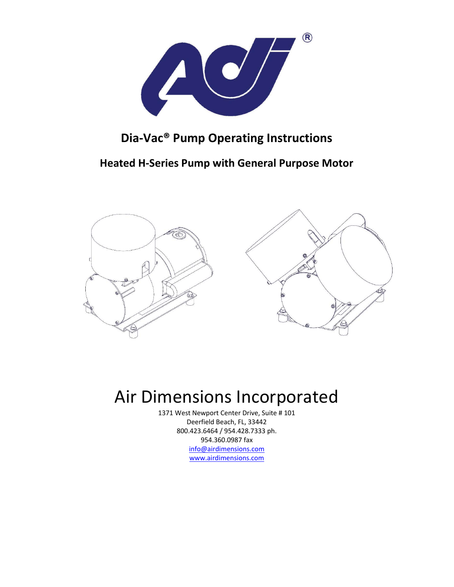

## **Dia‐Vac® Pump Operating Instructions**

**Heated H‐Series Pump with General Purpose Motor** 



# Air Dimensions Incorporated

1371 West Newport Center Drive, Suite # 101 Deerfield Beach, FL, 33442 800.423.6464 / 954.428.7333 ph. 954.360.0987 fax info@airdimensions.com www.airdimensions.com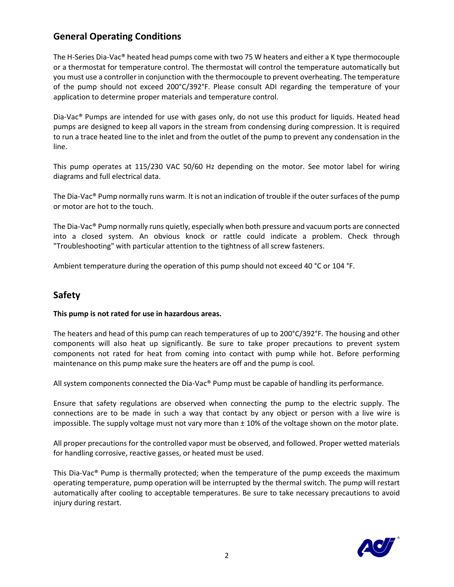## **General Operating Conditions**

The H-Series Dia-Vac® heated head pumps come with two 75 W heaters and either a K type thermocouple or a thermostat for temperature control. The thermostat will control the temperature automatically but you must use a controller in conjunction with the thermocouple to prevent overheating. The temperature of the pump should not exceed 200°C/392°F. Please consult ADI regarding the temperature of your application to determine proper materials and temperature control.

Dia-Vac® Pumps are intended for use with gases only, do not use this product for liquids. Heated head pumps are designed to keep all vapors in the stream from condensing during compression. It is required to run a trace heated line to the inlet and from the outlet of the pump to prevent any condensation in the line.

This pump operates at 115/230 VAC 50/60 Hz depending on the motor. See motor label for wiring diagrams and full electrical data.

The Dia-Vac® Pump normally runs warm. It is not an indication of trouble if the outer surfaces of the pump or motor are hot to the touch.

The Dia‐Vac® Pump normally runs quietly, especially when both pressure and vacuum ports are connected into a closed system. An obvious knock or rattle could indicate a problem. Check through "Troubleshooting" with particular attention to the tightness of all screw fasteners.

Ambient temperature during the operation of this pump should not exceed 40 °C or 104 °F.

## **Safety**

#### **This pump is not rated for use in hazardous areas.**

The heaters and head of this pump can reach temperatures of up to 200°C/392°F. The housing and other components will also heat up significantly. Be sure to take proper precautions to prevent system components not rated for heat from coming into contact with pump while hot. Before performing maintenance on this pump make sure the heaters are off and the pump is cool.

All system components connected the Dia‐Vac® Pump must be capable of handling its performance.

Ensure that safety regulations are observed when connecting the pump to the electric supply. The connections are to be made in such a way that contact by any object or person with a live wire is impossible. The supply voltage must not vary more than  $\pm$  10% of the voltage shown on the motor plate.

All proper precautions for the controlled vapor must be observed, and followed. Proper wetted materials for handling corrosive, reactive gasses, or heated must be used.

This Dia‐Vac® Pump is thermally protected; when the temperature of the pump exceeds the maximum operating temperature, pump operation will be interrupted by the thermal switch. The pump will restart automatically after cooling to acceptable temperatures. Be sure to take necessary precautions to avoid injury during restart.

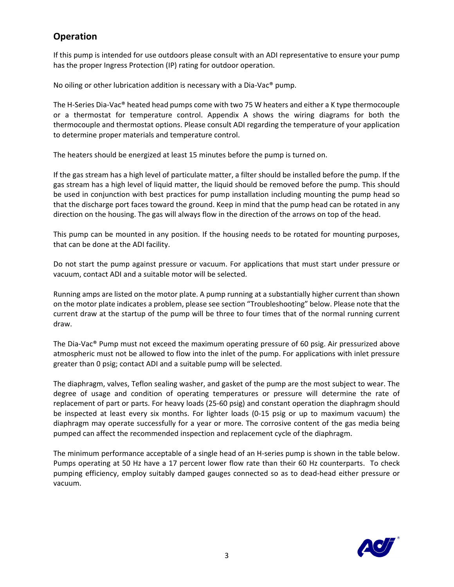## **Operation**

If this pump is intended for use outdoors please consult with an ADI representative to ensure your pump has the proper Ingress Protection (IP) rating for outdoor operation.

No oiling or other lubrication addition is necessary with a Dia‐Vac® pump.

The H-Series Dia-Vac® heated head pumps come with two 75 W heaters and either a K type thermocouple or a thermostat for temperature control. Appendix A shows the wiring diagrams for both the thermocouple and thermostat options. Please consult ADI regarding the temperature of your application to determine proper materials and temperature control.

The heaters should be energized at least 15 minutes before the pump is turned on.

If the gas stream has a high level of particulate matter, a filter should be installed before the pump. If the gas stream has a high level of liquid matter, the liquid should be removed before the pump. This should be used in conjunction with best practices for pump installation including mounting the pump head so that the discharge port faces toward the ground. Keep in mind that the pump head can be rotated in any direction on the housing. The gas will always flow in the direction of the arrows on top of the head.

This pump can be mounted in any position. If the housing needs to be rotated for mounting purposes, that can be done at the ADI facility.

Do not start the pump against pressure or vacuum. For applications that must start under pressure or vacuum, contact ADI and a suitable motor will be selected.

Running amps are listed on the motor plate. A pump running at a substantially higher current than shown on the motor plate indicates a problem, please see section "Troubleshooting" below. Please note that the current draw at the startup of the pump will be three to four times that of the normal running current draw.

The Dia-Vac<sup>®</sup> Pump must not exceed the maximum operating pressure of 60 psig. Air pressurized above atmospheric must not be allowed to flow into the inlet of the pump. For applications with inlet pressure greater than 0 psig; contact ADI and a suitable pump will be selected.

The diaphragm, valves, Teflon sealing washer, and gasket of the pump are the most subject to wear. The degree of usage and condition of operating temperatures or pressure will determine the rate of replacement of part or parts. For heavy loads (25‐60 psig) and constant operation the diaphragm should be inspected at least every six months. For lighter loads (0‐15 psig or up to maximum vacuum) the diaphragm may operate successfully for a year or more. The corrosive content of the gas media being pumped can affect the recommended inspection and replacement cycle of the diaphragm.

The minimum performance acceptable of a single head of an H-series pump is shown in the table below. Pumps operating at 50 Hz have a 17 percent lower flow rate than their 60 Hz counterparts. To check pumping efficiency, employ suitably damped gauges connected so as to dead-head either pressure or vacuum.

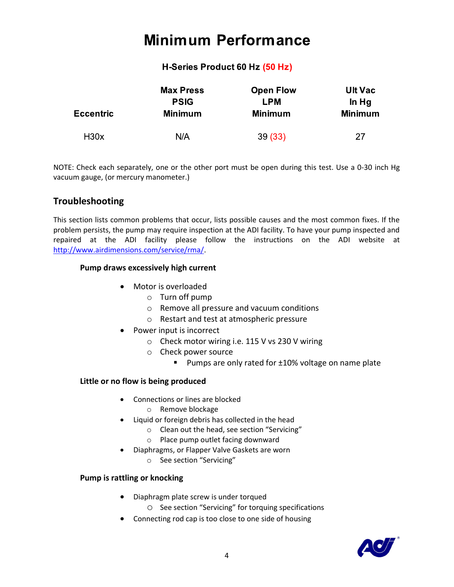# **Minimum Performance**

### H-Series Product 60 Hz (50 Hz)

| <b>Eccentric</b> | <b>Max Press</b> | <b>Open Flow</b> | <b>Ult Vac</b> |
|------------------|------------------|------------------|----------------|
|                  | <b>PSIG</b>      | <b>LPM</b>       | In Hg          |
|                  | <b>Minimum</b>   | <b>Minimum</b>   | <b>Minimum</b> |
| H <sub>30x</sub> | N/A              | 39(33)           | 27             |

NOTE: Check each separately, one or the other port must be open during this test. Use a 0‐30 inch Hg vacuum gauge, (or mercury manometer.)

## **Troubleshooting**

This section lists common problems that occur, lists possible causes and the most common fixes. If the problem persists, the pump may require inspection at the ADI facility. To have your pump inspected and repaired at the ADI facility please follow the instructions on the ADI website at http://www.airdimensions.com/service/rma/.

#### **Pump draws excessively high current**

- Motor is overloaded
	- o Turn off pump
	- o Remove all pressure and vacuum conditions
	- o Restart and test at atmospheric pressure
- $\bullet$  Power input is incorrect
	- o Check motor wiring i.e. 115 V vs 230 V wiring
	- o Check power source
		- Pumps are only rated for ±10% voltage on name plate

#### **Little or no flow is being produced**

- Connections or lines are blocked
	- o Remove blockage
- Liquid or foreign debris has collected in the head
	- o Clean out the head, see section "Servicing"
	- o Place pump outlet facing downward
- Diaphragms, or Flapper Valve Gaskets are worn
	- o See section "Servicing"

#### **Pump is rattling or knocking**

- Diaphragm plate screw is under torqued
	- o See section "Servicing" for torquing specifications
- Connecting rod cap is too close to one side of housing

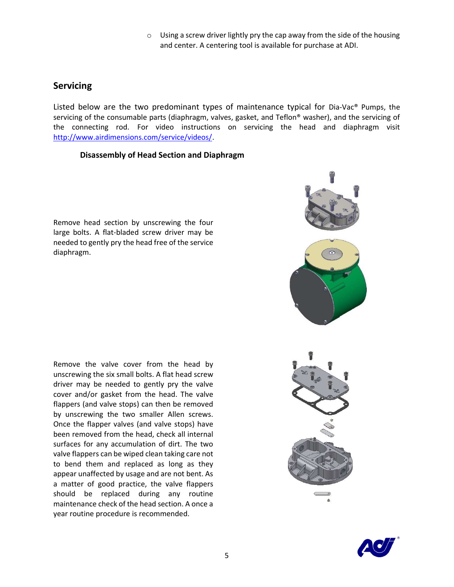$\circ$  Using a screw driver lightly pry the cap away from the side of the housing and center. A centering tool is available for purchase at ADI.

### **Servicing**

Listed below are the two predominant types of maintenance typical for Dia-Vac<sup>®</sup> Pumps, the servicing of the consumable parts (diaphragm, valves, gasket, and Teflon® washer), and the servicing of the connecting rod. For video instructions on servicing the head and diaphragm visit http://www.airdimensions.com/service/videos/.

#### **Disassembly of Head Section and Diaphragm**

Remove head section by unscrewing the four large bolts. A flat‐bladed screw driver may be needed to gently pry the head free of the service diaphragm.

Remove the valve cover from the head by unscrewing the six small bolts. A flat head screw driver may be needed to gently pry the valve cover and/or gasket from the head. The valve flappers (and valve stops) can then be removed by unscrewing the two smaller Allen screws. Once the flapper valves (and valve stops) have been removed from the head, check all internal surfaces for any accumulation of dirt. The two valve flappers can be wiped clean taking care not to bend them and replaced as long as they appear unaffected by usage and are not bent. As a matter of good practice, the valve flappers should be replaced during any routine maintenance check of the head section. A once a year routine procedure is recommended.



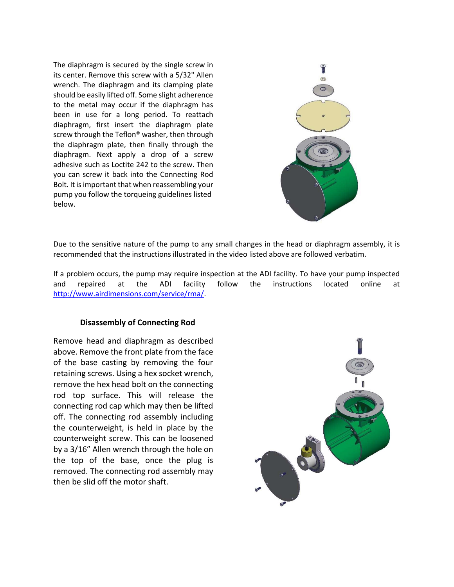The diaphragm is secured by the single screw in its center. Remove this screw with a 5/32" Allen wrench. The diaphragm and its clamping plate should be easily lifted off. Some slight adherence to the metal may occur if the diaphragm has been in use for a long period. To reattach diaphragm, first insert the diaphragm plate screw through the Teflon® washer, then through the diaphragm plate, then finally through the diaphragm. Next apply a drop of a screw adhesive such as Loctite 242 to the screw. Then you can screw it back into the Connecting Rod Bolt. It is important that when reassembling your pump you follow the torqueing guidelines listed below.



Due to the sensitive nature of the pump to any small changes in the head or diaphragm assembly, it is recommended that the instructions illustrated in the video listed above are followed verbatim.

If a problem occurs, the pump may require inspection at the ADI facility. To have your pump inspected and repaired at the ADI facility follow the instructions located online at http://www.airdimensions.com/service/rma/.

#### **Disassembly of Connecting Rod**

Remove head and diaphragm as described above. Remove the front plate from the face of the base casting by removing the four retaining screws. Using a hex socket wrench, remove the hex head bolt on the connecting rod top surface. This will release the connecting rod cap which may then be lifted off. The connecting rod assembly including the counterweight, is held in place by the counterweight screw. This can be loosened by a 3/16" Allen wrench through the hole on the top of the base, once the plug is removed. The connecting rod assembly may then be slid off the motor shaft.

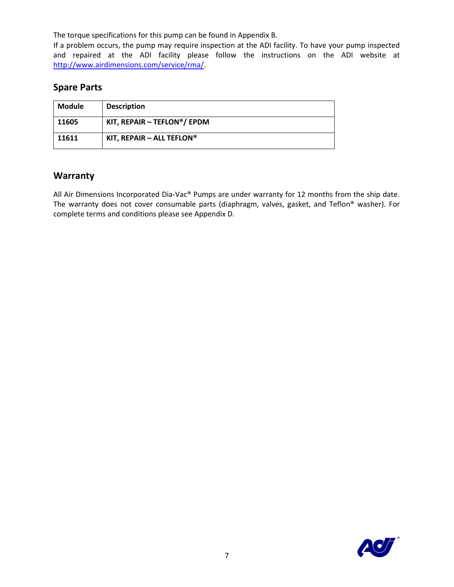The torque specifications for this pump can be found in Appendix B.

If a problem occurs, the pump may require inspection at the ADI facility. To have your pump inspected and repaired at the ADI facility please follow the instructions on the ADI website at http://www.airdimensions.com/service/rma/.

## **Spare Parts**

| Module | <b>Description</b>         |
|--------|----------------------------|
| 11605  | KIT, REPAIR - TEFLON®/EPDM |
| 11611  | KIT, REPAIR - ALL TEFLON®  |

### **Warranty**

All Air Dimensions Incorporated Dia-Vac® Pumps are under warranty for 12 months from the ship date. The warranty does not cover consumable parts (diaphragm, valves, gasket, and Teflon® washer). For complete terms and conditions please see Appendix D.

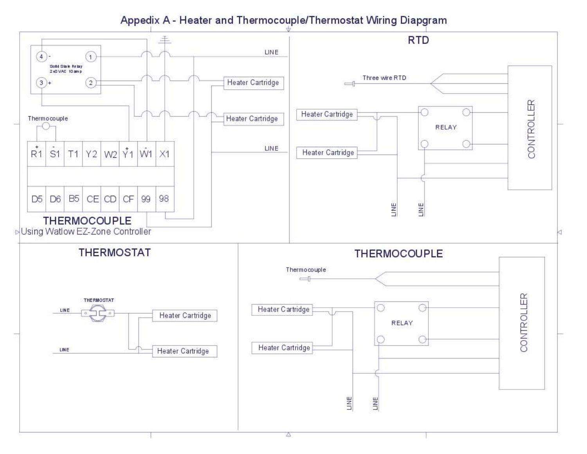## Appedix A - Heater and Thermocouple/Thermostat Wiring Diapgram

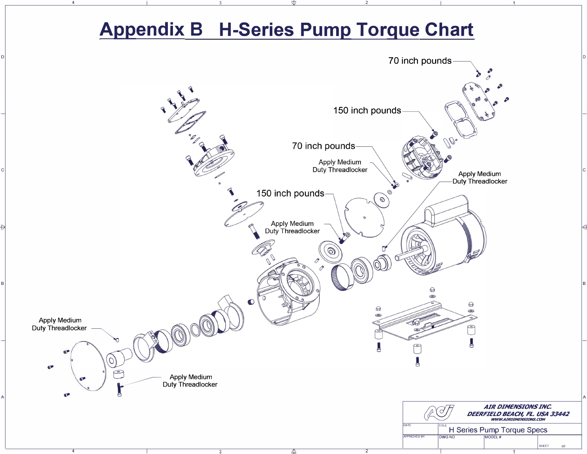# **Appendix B H-Series Pump Torque Chart**

**2** 

**D** 

**4** 

**C** 

**B** 

**A** 

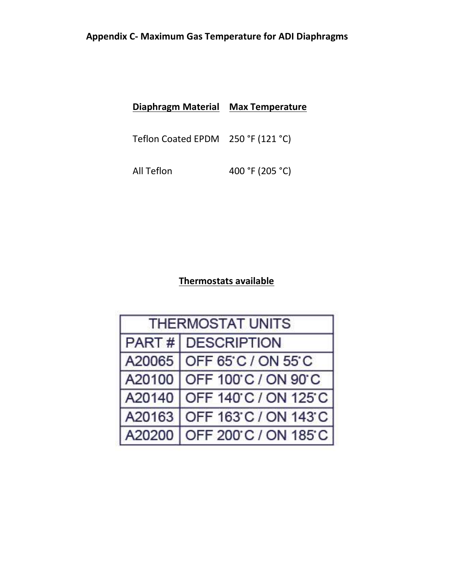## **Appendix C‐ Maximum Gas Temperature for ADI Diaphragms**

| Diaphragm Material | <b>Max Temperature</b> |
|--------------------|------------------------|
|                    |                        |

Teflon Coated EPDM 250 °F (121 °C)

All Teflon 400 °F (205 °C)

## **Thermostats available**

| <b>THERMOSTAT UNITS</b> |                             |  |
|-------------------------|-----------------------------|--|
|                         | PART # DESCRIPTION          |  |
|                         | A20065   OFF 65 C / ON 55 C |  |
|                         | A20100 OFF 100 C / ON 90 C  |  |
|                         | A20140 OFF 140 C / ON 125 C |  |
| A20163                  | OFF 163 C / ON 143 C        |  |
| A20200                  | OFF 200°C / ON 185°C        |  |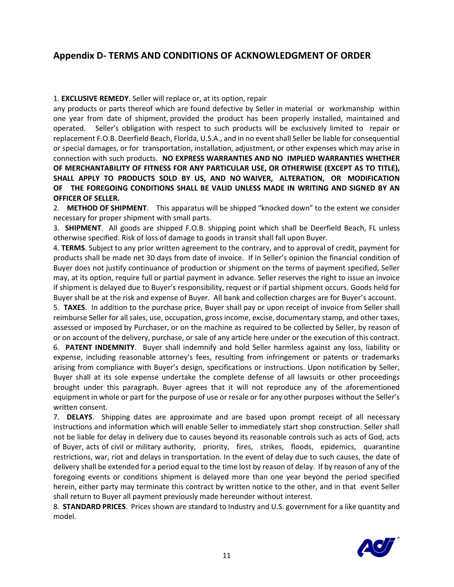## **Appendix D‐ TERMS AND CONDITIONS OF ACKNOWLEDGMENT OF ORDER**

#### 1. **EXCLUSIVE REMEDY**. Seller will replace or, at its option, repair

any products or parts thereof which are found defective by Seller in material or workmanship within one year from date of shipment, provided the product has been properly installed, maintained and operated. Seller's obligation with respect to such products will be exclusively limited to repair or replacement F.O.B. Deerfield Beach, Florida, U.S.A., and in no event shall Seller be liable for consequential or special damages, or for transportation, installation, adjustment, or other expenses which may arise in connection with such products. **NO EXPRESS WARRANTIES AND NO IMPLIED WARRANTIES WHETHER OF MERCHANTABILITY OF FITNESS FOR ANY PARTICULAR USE, OR OTHERWISE (EXCEPT AS TO TITLE), SHALL APPLY TO PRODUCTS SOLD BY US, AND NO WAIVER, ALTERATION, OR MODIFICATION OF THE FOREGOING CONDITIONS SHALL BE VALID UNLESS MADE IN WRITING AND SIGNED BY AN OFFICER OF SELLER.**

2. **METHOD OF SHIPMENT**. This apparatus will be shipped "knocked down" to the extent we consider necessary for proper shipment with small parts.

3. **SHIPMENT**. All goods are shipped F.O.B. shipping point which shall be Deerfield Beach, FL unless otherwise specified. Risk of loss of damage to goods in transit shall fall upon Buyer.

4. **TERMS**. Subject to any prior written agreement to the contrary, and to approval of credit, payment for products shall be made net 30 days from date of invoice. If in Seller's opinion the financial condition of Buyer does not justify continuance of production or shipment on the terms of payment specified, Seller may, at its option, require full or partial payment in advance. Seller reserves the right to issue an invoice if shipment is delayed due to Buyer's responsibility, request or if partial shipment occurs. Goods held for Buyer shall be at the risk and expense of Buyer. All bank and collection charges are for Buyer's account.

5. **TAXES**. In addition to the purchase price, Buyer shall pay or upon receipt of invoice from Seller shall reimburse Seller for all sales, use, occupation, gross income, excise, documentary stamp, and other taxes, assessed or imposed by Purchaser, or on the machine as required to be collected by Seller, by reason of or on account of the delivery, purchase, or sale of any article here under or the execution of this contract.

6. **PATENT INDEMNITY**. Buyer shall indemnify and hold Seller harmless against any loss, liability or expense, including reasonable attorney's fees, resulting from infringement or patents or trademarks arising from compliance with Buyer's design, specifications or instructions. Upon notification by Seller, Buyer shall at its sole expense undertake the complete defense of all lawsuits or other proceedings brought under this paragraph. Buyer agrees that it will not reproduce any of the aforementioned equipment in whole or part for the purpose of use or resale or for any other purposes without the Seller's written consent.

7. **DELAYS**. Shipping dates are approximate and are based upon prompt receipt of all necessary instructions and information which will enable Seller to immediately start shop construction. Seller shall not be liable for delay in delivery due to causes beyond its reasonable controls such as acts of God, acts of Buyer, acts of civil or military authority, priority, fires, strikes, floods, epidemics, quarantine restrictions, war, riot and delays in transportation. In the event of delay due to such causes, the date of delivery shall be extended for a period equal to the time lost by reason of delay. If by reason of any of the foregoing events or conditions shipment is delayed more than one year beyond the period specified herein, either party may terminate this contract by written notice to the other, and in that event Seller shall return to Buyer all payment previously made hereunder without interest.

8. **STANDARD PRICES**. Prices shown are standard to Industry and U.S. government for a like quantity and model.